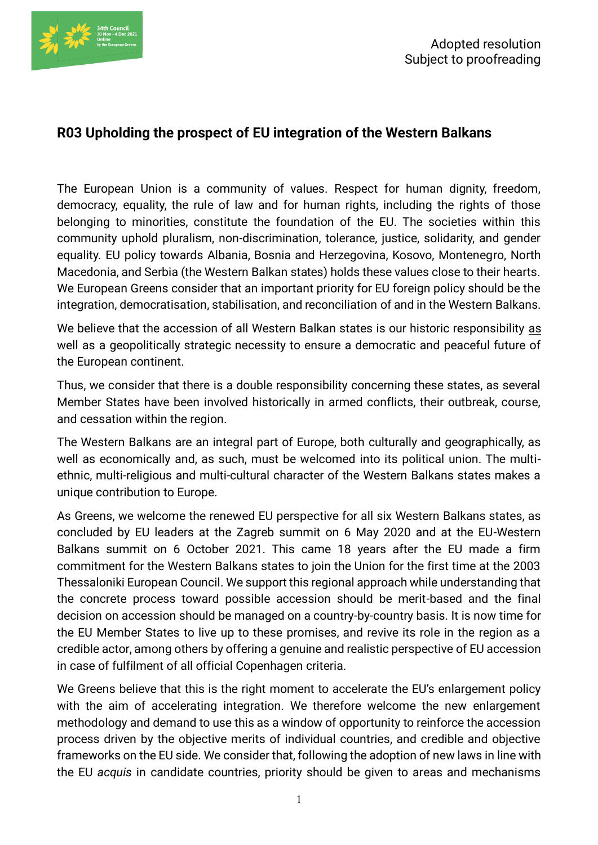

## **R03 Upholding the prospect of EU integration of the Western Balkans**

The European Union is a community of values. Respect for human dignity, freedom, democracy, equality, the rule of law and for human rights, including the rights of those belonging to minorities, constitute the foundation of the EU. The societies within this community uphold pluralism, non-discrimination, tolerance, justice, solidarity, and gender equality. EU policy towards Albania, Bosnia and Herzegovina, Kosovo, Montenegro, North Macedonia, and Serbia (the Western Balkan states) holds these values close to their hearts. We European Greens consider that an important priority for EU foreign policy should be the integration, democratisation, stabilisation, and reconciliation of and in the Western Balkans.

We believe that the accession of all Western Balkan states is our historic responsibility as well as a geopolitically strategic necessity to ensure a democratic and peaceful future of the European continent.

Thus, we consider that there is a double responsibility concerning these states, as several Member States have been involved historically in armed conflicts, their outbreak, course, and cessation within the region.

The Western Balkans are an integral part of Europe, both culturally and geographically, as well as economically and, as such, must be welcomed into its political union. The multiethnic, multi-religious and multi-cultural character of the Western Balkans states makes a unique contribution to Europe.

As Greens, we welcome the renewed EU perspective for all six Western Balkans states, as concluded by EU leaders at the Zagreb summit on 6 May 2020 and at the EU-Western Balkans summit on 6 October 2021. This came 18 years after the EU made a firm commitment for the Western Balkans states to join the Union for the first time at the 2003 Thessaloniki European Council. We support this regional approach while understanding that the concrete process toward possible accession should be merit-based and the final decision on accession should be managed on a country-by-country basis. It is now time for the EU Member States to live up to these promises, and revive its role in the region as a credible actor, among others by offering a genuine and realistic perspective of EU accession in case of fulfilment of all official Copenhagen criteria.

We Greens believe that this is the right moment to accelerate the EU's enlargement policy with the aim of accelerating integration. We therefore welcome the new enlargement methodology and demand to use this as a window of opportunity to reinforce the accession process driven by the objective merits of individual countries, and credible and objective frameworks on the EU side. We consider that, following the adoption of new laws in line with the EU *acquis* in candidate countries, priority should be given to areas and mechanisms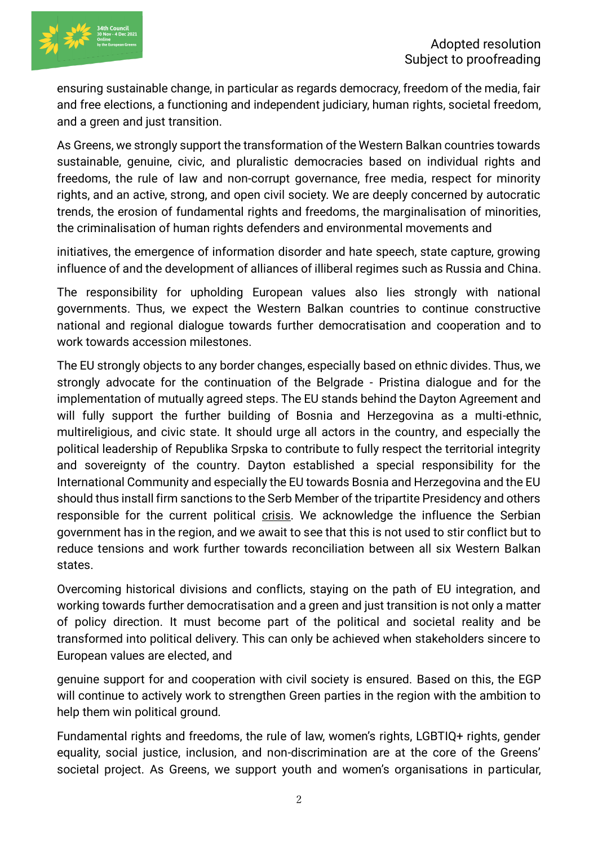

ensuring sustainable change, in particular as regards democracy, freedom of the media, fair and free elections, a functioning and independent judiciary, human rights, societal freedom, and a green and just transition.

As Greens, we strongly support the transformation of the Western Balkan countries towards sustainable, genuine, civic, and pluralistic democracies based on individual rights and freedoms, the rule of law and non-corrupt governance, free media, respect for minority rights, and an active, strong, and open civil society. We are deeply concerned by autocratic trends, the erosion of fundamental rights and freedoms, the marginalisation of minorities, the criminalisation of human rights defenders and environmental movements and

initiatives, the emergence of information disorder and hate speech, state capture, growing influence of and the development of alliances of illiberal regimes such as Russia and China.

The responsibility for upholding European values also lies strongly with national governments. Thus, we expect the Western Balkan countries to continue constructive national and regional dialogue towards further democratisation and cooperation and to work towards accession milestones.

The EU strongly objects to any border changes, especially based on ethnic divides. Thus, we strongly advocate for the continuation of the Belgrade - Pristina dialogue and for the implementation of mutually agreed steps. The EU stands behind the Dayton Agreement and will fully support the further building of Bosnia and Herzegovina as a multi-ethnic, multireligious, and civic state. It should urge all actors in the country, and especially the political leadership of Republika Srpska to contribute to fully respect the territorial integrity and sovereignty of the country. Dayton established a special responsibility for the International Community and especially the EU towards Bosnia and Herzegovina and the EU should thus install firm sanctions to the Serb Member of the tripartite Presidency and others responsible for the current political crisis. We acknowledge the influence the Serbian government has in the region, and we await to see that this is not used to stir conflict but to reduce tensions and work further towards reconciliation between all six Western Balkan states.

Overcoming historical divisions and conflicts, staying on the path of EU integration, and working towards further democratisation and a green and just transition is not only a matter of policy direction. It must become part of the political and societal reality and be transformed into political delivery. This can only be achieved when stakeholders sincere to European values are elected, and

genuine support for and cooperation with civil society is ensured. Based on this, the EGP will continue to actively work to strengthen Green parties in the region with the ambition to help them win political ground.

Fundamental rights and freedoms, the rule of law, women's rights, LGBTIQ+ rights, gender equality, social justice, inclusion, and non-discrimination are at the core of the Greens' societal project. As Greens, we support youth and women's organisations in particular,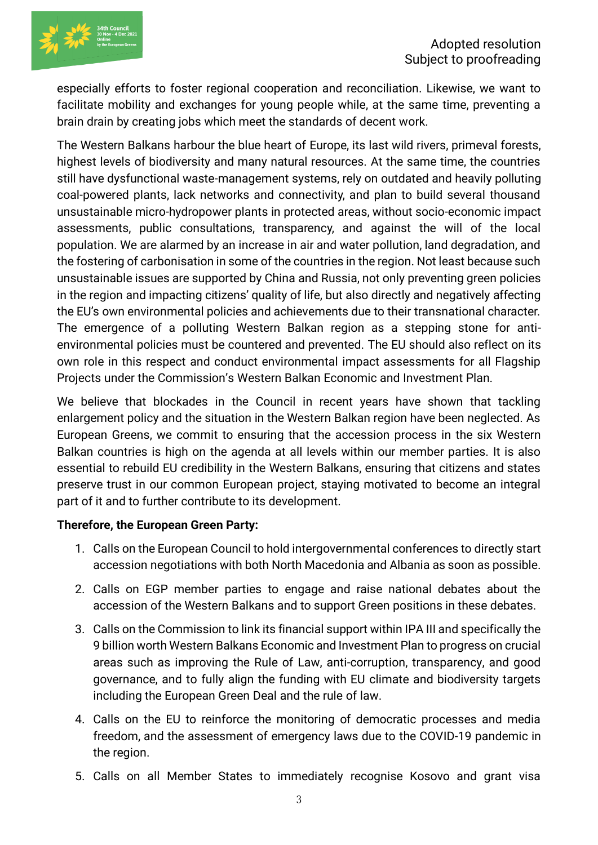

especially efforts to foster regional cooperation and reconciliation. Likewise, we want to facilitate mobility and exchanges for young people while, at the same time, preventing a brain drain by creating jobs which meet the standards of decent work.

The Western Balkans harbour the blue heart of Europe, its last wild rivers, primeval forests, highest levels of biodiversity and many natural resources. At the same time, the countries still have dysfunctional waste-management systems, rely on outdated and heavily polluting coal-powered plants, lack networks and connectivity, and plan to build several thousand unsustainable micro-hydropower plants in protected areas, without socio-economic impact assessments, public consultations, transparency, and against the will of the local population. We are alarmed by an increase in air and water pollution, land degradation, and the fostering of carbonisation in some of the countries in the region. Not least because such unsustainable issues are supported by China and Russia, not only preventing green policies in the region and impacting citizens' quality of life, but also directly and negatively affecting the EU's own environmental policies and achievements due to their transnational character. The emergence of a polluting Western Balkan region as a stepping stone for antienvironmental policies must be countered and prevented. The EU should also reflect on its own role in this respect and conduct environmental impact assessments for all Flagship Projects under the Commission's Western Balkan Economic and Investment Plan.

We believe that blockades in the Council in recent vears have shown that tackling enlargement policy and the situation in the Western Balkan region have been neglected. As European Greens, we commit to ensuring that the accession process in the six Western Balkan countries is high on the agenda at all levels within our member parties. It is also essential to rebuild EU credibility in the Western Balkans, ensuring that citizens and states preserve trust in our common European project, staying motivated to become an integral part of it and to further contribute to its development.

## **Therefore, the European Green Party:**

- 1. Calls on the European Council to hold intergovernmental conferences to directly start accession negotiations with both North Macedonia and Albania as soon as possible.
- 2. Calls on EGP member parties to engage and raise national debates about the accession of the Western Balkans and to support Green positions in these debates.
- 3. Calls on the Commission to link its financial support within IPA III and specifically the 9 billion worth Western Balkans Economic and Investment Plan to progress on crucial areas such as improving the Rule of Law, anti-corruption, transparency, and good governance, and to fully align the funding with EU climate and biodiversity targets including the European Green Deal and the rule of law.
- 4. Calls on the EU to reinforce the monitoring of democratic processes and media freedom, and the assessment of emergency laws due to the COVID-19 pandemic in the region.
- 5. Calls on all Member States to immediately recognise Kosovo and grant visa